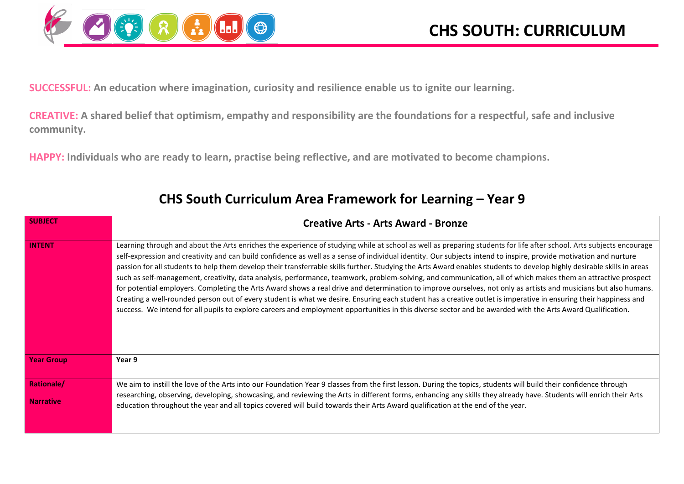

**SUCCESSFUL: An education where imagination, curiosity and resilience enable us to ignite our learning.**

**CREATIVE: A shared belief that optimism, empathy and responsibility are the foundations for a respectful, safe and inclusive community.**

**HAPPY: Individuals who are ready to learn, practise being reflective, and are motivated to become champions.**

| <b>SUBJECT</b>                        | <b>Creative Arts - Arts Award - Bronze</b>                                                                                                                                                                                                                                                                                                                                                                                                                                                                                                                                                                                                                                                                                                                                                                                                                                                                                                                                                                                                                                                                                                                                                 |  |  |  |
|---------------------------------------|--------------------------------------------------------------------------------------------------------------------------------------------------------------------------------------------------------------------------------------------------------------------------------------------------------------------------------------------------------------------------------------------------------------------------------------------------------------------------------------------------------------------------------------------------------------------------------------------------------------------------------------------------------------------------------------------------------------------------------------------------------------------------------------------------------------------------------------------------------------------------------------------------------------------------------------------------------------------------------------------------------------------------------------------------------------------------------------------------------------------------------------------------------------------------------------------|--|--|--|
| <b>INTENT</b>                         | Learning through and about the Arts enriches the experience of studying while at school as well as preparing students for life after school. Arts subjects encourage<br>self-expression and creativity and can build confidence as well as a sense of individual identity. Our subjects intend to inspire, provide motivation and nurture<br>passion for all students to help them develop their transferrable skills further. Studying the Arts Award enables students to develop highly desirable skills in areas<br>such as self-management, creativity, data analysis, performance, teamwork, problem-solving, and communication, all of which makes them an attractive prospect<br>for potential employers. Completing the Arts Award shows a real drive and determination to improve ourselves, not only as artists and musicians but also humans.<br>Creating a well-rounded person out of every student is what we desire. Ensuring each student has a creative outlet is imperative in ensuring their happiness and<br>success. We intend for all pupils to explore careers and employment opportunities in this diverse sector and be awarded with the Arts Award Qualification. |  |  |  |
| <b>Year Group</b>                     | Year 9                                                                                                                                                                                                                                                                                                                                                                                                                                                                                                                                                                                                                                                                                                                                                                                                                                                                                                                                                                                                                                                                                                                                                                                     |  |  |  |
| <b>Rationale/</b><br><b>Narrative</b> | We aim to instill the love of the Arts into our Foundation Year 9 classes from the first lesson. During the topics, students will build their confidence through<br>researching, observing, developing, showcasing, and reviewing the Arts in different forms, enhancing any skills they already have. Students will enrich their Arts<br>education throughout the year and all topics covered will build towards their Arts Award qualification at the end of the year.                                                                                                                                                                                                                                                                                                                                                                                                                                                                                                                                                                                                                                                                                                                   |  |  |  |
|                                       |                                                                                                                                                                                                                                                                                                                                                                                                                                                                                                                                                                                                                                                                                                                                                                                                                                                                                                                                                                                                                                                                                                                                                                                            |  |  |  |

## **CHS South Curriculum Area Framework for Learning – Year 9**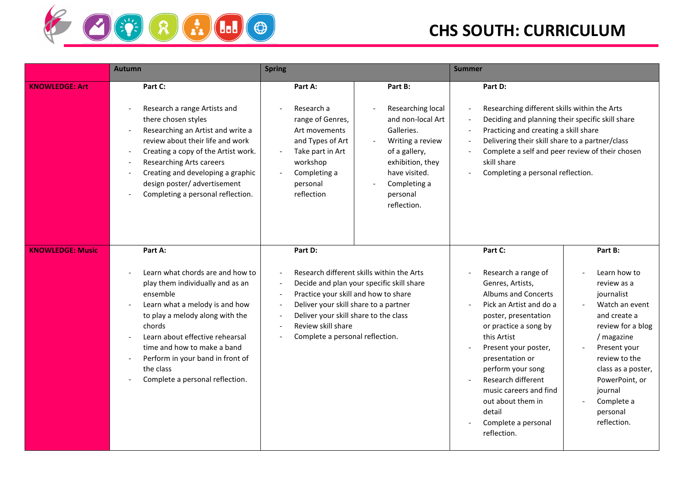

## **CHS SOUTH: CURRICULUM**

|                         | <b>Autumn</b>                                                                                                                                                                                                                                                                                                                                                                                                   | <b>Spring</b>                                                                                                                                                                                                                                                                                                                                                                                                    | <b>Summer</b>                                                                                                                                                                                                                                                                                                                                                                                                                                                                                                                                                                                                                                                                                |
|-------------------------|-----------------------------------------------------------------------------------------------------------------------------------------------------------------------------------------------------------------------------------------------------------------------------------------------------------------------------------------------------------------------------------------------------------------|------------------------------------------------------------------------------------------------------------------------------------------------------------------------------------------------------------------------------------------------------------------------------------------------------------------------------------------------------------------------------------------------------------------|----------------------------------------------------------------------------------------------------------------------------------------------------------------------------------------------------------------------------------------------------------------------------------------------------------------------------------------------------------------------------------------------------------------------------------------------------------------------------------------------------------------------------------------------------------------------------------------------------------------------------------------------------------------------------------------------|
| <b>KNOWLEDGE: Art</b>   | Part C:<br>Research a range Artists and<br>there chosen styles<br>Researching an Artist and write a<br>$\overline{\phantom{a}}$<br>review about their life and work<br>Creating a copy of the Artist work.<br>$\overline{\phantom{a}}$<br><b>Researching Arts careers</b><br>$\overline{\phantom{a}}$<br>Creating and developing a graphic<br>design poster/ advertisement<br>Completing a personal reflection. | Part A:<br>Part B:<br>Research a<br>Researching local<br>range of Genres,<br>and non-local Art<br>Art movements<br>Galleries.<br>and Types of Art<br>Writing a review<br>$\blacksquare$<br>Take part in Art<br>of a gallery,<br>$\overline{\phantom{a}}$<br>workshop<br>exhibition, they<br>have visited.<br>Completing a<br>$\blacksquare$<br>Completing a<br>personal<br>reflection<br>personal<br>reflection. | Part D:<br>Researching different skills within the Arts<br>$\overline{\phantom{a}}$<br>Deciding and planning their specific skill share<br>$\overline{\phantom{a}}$<br>Practicing and creating a skill share<br>$\overline{\phantom{a}}$<br>Delivering their skill share to a partner/class<br>$\overline{\phantom{a}}$<br>Complete a self and peer review of their chosen<br>$\overline{\phantom{a}}$<br>skill share<br>Completing a personal reflection.                                                                                                                                                                                                                                   |
| <b>KNOWLEDGE: Music</b> | Part A:<br>Learn what chords are and how to<br>play them individually and as an<br>ensemble<br>Learn what a melody is and how<br>to play a melody along with the<br>chords<br>Learn about effective rehearsal<br>time and how to make a band<br>Perform in your band in front of<br>$\overline{\phantom{a}}$<br>the class<br>Complete a personal reflection.                                                    | Part D:<br>Research different skills within the Arts<br>$\mathbf{r}$<br>Decide and plan your specific skill share<br>$\overline{\phantom{a}}$<br>Practice your skill and how to share<br>$\overline{\phantom{a}}$<br>Deliver your skill share to a partner<br>$\blacksquare$<br>Deliver your skill share to the class<br>$\overline{\phantom{a}}$<br>Review skill share<br>Complete a personal reflection.       | Part C:<br>Part B:<br>Research a range of<br>Learn how to<br>Genres, Artists,<br>review as a<br><b>Albums and Concerts</b><br>journalist<br>Watch an event<br>Pick an Artist and do a<br>$\overline{\phantom{a}}$<br>and create a<br>poster, presentation<br>or practice a song by<br>review for a blog<br>this Artist<br>/ magazine<br>Present your<br>Present your poster,<br>$\overline{\phantom{a}}$<br>presentation or<br>review to the<br>perform your song<br>class as a poster,<br>Research different<br>PowerPoint, or<br>$\sim$<br>music careers and find<br>journal<br>out about them in<br>Complete a<br>detail<br>personal<br>reflection.<br>Complete a personal<br>reflection. |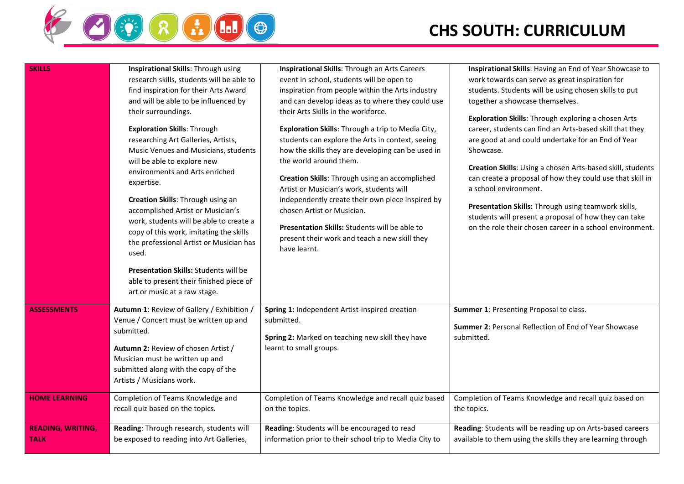

## **CHS SOUTH: CURRICULUM**

| <b>SKILLS</b>            | Inspirational Skills: Through using<br>research skills, students will be able to<br>find inspiration for their Arts Award<br>and will be able to be influenced by<br>their surroundings.<br><b>Exploration Skills: Through</b><br>researching Art Galleries, Artists,<br>Music Venues and Musicians, students<br>will be able to explore new<br>environments and Arts enriched<br>expertise.<br>Creation Skills: Through using an<br>accomplished Artist or Musician's<br>work, students will be able to create a<br>copy of this work, imitating the skills<br>the professional Artist or Musician has<br>used.<br><b>Presentation Skills: Students will be</b><br>able to present their finished piece of<br>art or music at a raw stage. | Inspirational Skills: Through an Arts Careers<br>event in school, students will be open to<br>inspiration from people within the Arts industry<br>and can develop ideas as to where they could use<br>their Arts Skills in the workforce.<br>Exploration Skills: Through a trip to Media City,<br>students can explore the Arts in context, seeing<br>how the skills they are developing can be used in<br>the world around them.<br>Creation Skills: Through using an accomplished<br>Artist or Musician's work, students will<br>independently create their own piece inspired by<br>chosen Artist or Musician.<br>Presentation Skills: Students will be able to<br>present their work and teach a new skill they<br>have learnt. | Inspirational Skills: Having an End of Year Showcase to<br>work towards can serve as great inspiration for<br>students. Students will be using chosen skills to put<br>together a showcase themselves.<br>Exploration Skills: Through exploring a chosen Arts<br>career, students can find an Arts-based skill that they<br>are good at and could undertake for an End of Year<br>Showcase.<br>Creation Skills: Using a chosen Arts-based skill, students<br>can create a proposal of how they could use that skill in<br>a school environment.<br>Presentation Skills: Through using teamwork skills,<br>students will present a proposal of how they can take<br>on the role their chosen career in a school environment. |
|--------------------------|---------------------------------------------------------------------------------------------------------------------------------------------------------------------------------------------------------------------------------------------------------------------------------------------------------------------------------------------------------------------------------------------------------------------------------------------------------------------------------------------------------------------------------------------------------------------------------------------------------------------------------------------------------------------------------------------------------------------------------------------|-------------------------------------------------------------------------------------------------------------------------------------------------------------------------------------------------------------------------------------------------------------------------------------------------------------------------------------------------------------------------------------------------------------------------------------------------------------------------------------------------------------------------------------------------------------------------------------------------------------------------------------------------------------------------------------------------------------------------------------|-----------------------------------------------------------------------------------------------------------------------------------------------------------------------------------------------------------------------------------------------------------------------------------------------------------------------------------------------------------------------------------------------------------------------------------------------------------------------------------------------------------------------------------------------------------------------------------------------------------------------------------------------------------------------------------------------------------------------------|
| <b>ASSESSMENTS</b>       | Autumn 1: Review of Gallery / Exhibition /<br>Venue / Concert must be written up and<br>submitted.<br>Autumn 2: Review of chosen Artist /<br>Musician must be written up and<br>submitted along with the copy of the<br>Artists / Musicians work.                                                                                                                                                                                                                                                                                                                                                                                                                                                                                           | Spring 1: Independent Artist-inspired creation<br>submitted.<br>Spring 2: Marked on teaching new skill they have<br>learnt to small groups.                                                                                                                                                                                                                                                                                                                                                                                                                                                                                                                                                                                         | Summer 1: Presenting Proposal to class.<br><b>Summer 2: Personal Reflection of End of Year Showcase</b><br>submitted.                                                                                                                                                                                                                                                                                                                                                                                                                                                                                                                                                                                                       |
| <b>HOME LEARNING</b>     | Completion of Teams Knowledge and                                                                                                                                                                                                                                                                                                                                                                                                                                                                                                                                                                                                                                                                                                           | Completion of Teams Knowledge and recall quiz based                                                                                                                                                                                                                                                                                                                                                                                                                                                                                                                                                                                                                                                                                 | Completion of Teams Knowledge and recall quiz based on                                                                                                                                                                                                                                                                                                                                                                                                                                                                                                                                                                                                                                                                      |
|                          | recall quiz based on the topics.                                                                                                                                                                                                                                                                                                                                                                                                                                                                                                                                                                                                                                                                                                            | on the topics.                                                                                                                                                                                                                                                                                                                                                                                                                                                                                                                                                                                                                                                                                                                      | the topics.                                                                                                                                                                                                                                                                                                                                                                                                                                                                                                                                                                                                                                                                                                                 |
| <b>READING, WRITING,</b> | Reading: Through research, students will                                                                                                                                                                                                                                                                                                                                                                                                                                                                                                                                                                                                                                                                                                    | Reading: Students will be encouraged to read                                                                                                                                                                                                                                                                                                                                                                                                                                                                                                                                                                                                                                                                                        | Reading: Students will be reading up on Arts-based careers                                                                                                                                                                                                                                                                                                                                                                                                                                                                                                                                                                                                                                                                  |
| <b>TALK</b>              | be exposed to reading into Art Galleries,                                                                                                                                                                                                                                                                                                                                                                                                                                                                                                                                                                                                                                                                                                   | information prior to their school trip to Media City to                                                                                                                                                                                                                                                                                                                                                                                                                                                                                                                                                                                                                                                                             | available to them using the skills they are learning through                                                                                                                                                                                                                                                                                                                                                                                                                                                                                                                                                                                                                                                                |